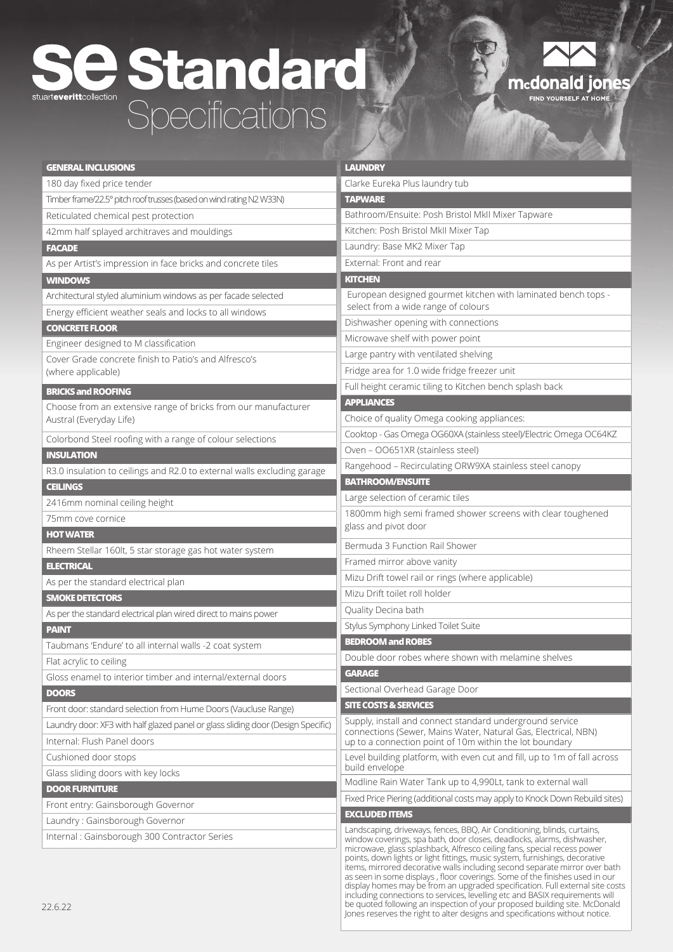## Standard Specifications



| <b>GENERAL INCLUSIONS</b>                                                        | <b>LAUNDRY</b>                                                                                                                                                                                                                                                                                                                                                                                                                                                                                                                                                     |
|----------------------------------------------------------------------------------|--------------------------------------------------------------------------------------------------------------------------------------------------------------------------------------------------------------------------------------------------------------------------------------------------------------------------------------------------------------------------------------------------------------------------------------------------------------------------------------------------------------------------------------------------------------------|
| 180 day fixed price tender                                                       | Clarke Eureka Plus laundry tub                                                                                                                                                                                                                                                                                                                                                                                                                                                                                                                                     |
| Timber frame/22.5° pitch roof trusses (based on wind rating N2 W33N)             | <b>TAPWARE</b>                                                                                                                                                                                                                                                                                                                                                                                                                                                                                                                                                     |
| Reticulated chemical pest protection                                             | Bathroom/Ensuite: Posh Bristol MkII Mixer Tapware                                                                                                                                                                                                                                                                                                                                                                                                                                                                                                                  |
| 42mm half splayed architraves and mouldings                                      | Kitchen: Posh Bristol MkII Mixer Tap                                                                                                                                                                                                                                                                                                                                                                                                                                                                                                                               |
| <b>FACADE</b>                                                                    | Laundry: Base MK2 Mixer Tap                                                                                                                                                                                                                                                                                                                                                                                                                                                                                                                                        |
| As per Artist's impression in face bricks and concrete tiles                     | External: Front and rear                                                                                                                                                                                                                                                                                                                                                                                                                                                                                                                                           |
| <b>WINDOWS</b>                                                                   | <b>KITCHEN</b>                                                                                                                                                                                                                                                                                                                                                                                                                                                                                                                                                     |
| Architectural styled aluminium windows as per facade selected                    | European designed gourmet kitchen with laminated bench tops -                                                                                                                                                                                                                                                                                                                                                                                                                                                                                                      |
| Energy efficient weather seals and locks to all windows                          | select from a wide range of colours                                                                                                                                                                                                                                                                                                                                                                                                                                                                                                                                |
| <b>CONCRETE FLOOR</b>                                                            | Dishwasher opening with connections                                                                                                                                                                                                                                                                                                                                                                                                                                                                                                                                |
| Engineer designed to M classification                                            | Microwave shelf with power point                                                                                                                                                                                                                                                                                                                                                                                                                                                                                                                                   |
| Cover Grade concrete finish to Patio's and Alfresco's                            | Large pantry with ventilated shelving                                                                                                                                                                                                                                                                                                                                                                                                                                                                                                                              |
| (where applicable)                                                               | Fridge area for 1.0 wide fridge freezer unit                                                                                                                                                                                                                                                                                                                                                                                                                                                                                                                       |
| <b>BRICKS and ROOFING</b>                                                        | Full height ceramic tiling to Kitchen bench splash back                                                                                                                                                                                                                                                                                                                                                                                                                                                                                                            |
| Choose from an extensive range of bricks from our manufacturer                   | <b>APPLIANCES</b>                                                                                                                                                                                                                                                                                                                                                                                                                                                                                                                                                  |
| Austral (Everyday Life)                                                          | Choice of quality Omega cooking appliances:                                                                                                                                                                                                                                                                                                                                                                                                                                                                                                                        |
| Colorbond Steel roofing with a range of colour selections                        | Cooktop - Gas Omega OG60XA (stainless steel)/Electric Omega OC64KZ                                                                                                                                                                                                                                                                                                                                                                                                                                                                                                 |
| <b>INSULATION</b>                                                                | Oven - OO651XR (stainless steel)                                                                                                                                                                                                                                                                                                                                                                                                                                                                                                                                   |
| R3.0 insulation to ceilings and R2.0 to external walls excluding garage          | Rangehood - Recirculating ORW9XA stainless steel canopy                                                                                                                                                                                                                                                                                                                                                                                                                                                                                                            |
| <b>CEILINGS</b>                                                                  | <b>BATHROOM/ENSUITE</b>                                                                                                                                                                                                                                                                                                                                                                                                                                                                                                                                            |
| 2416mm nominal ceiling height                                                    | Large selection of ceramic tiles                                                                                                                                                                                                                                                                                                                                                                                                                                                                                                                                   |
| 75mm cove cornice                                                                | 1800mm high semi framed shower screens with clear toughened                                                                                                                                                                                                                                                                                                                                                                                                                                                                                                        |
| <b>HOT WATER</b>                                                                 | glass and pivot door                                                                                                                                                                                                                                                                                                                                                                                                                                                                                                                                               |
| Rheem Stellar 160lt, 5 star storage gas hot water system                         | Bermuda 3 Function Rail Shower                                                                                                                                                                                                                                                                                                                                                                                                                                                                                                                                     |
| <b>ELECTRICAL</b>                                                                | Framed mirror above vanity                                                                                                                                                                                                                                                                                                                                                                                                                                                                                                                                         |
| As per the standard electrical plan                                              | Mizu Drift towel rail or rings (where applicable)                                                                                                                                                                                                                                                                                                                                                                                                                                                                                                                  |
| <b>SMOKE DETECTORS</b>                                                           | Mizu Drift toilet roll holder                                                                                                                                                                                                                                                                                                                                                                                                                                                                                                                                      |
| As per the standard electrical plan wired direct to mains power                  | Quality Decina bath                                                                                                                                                                                                                                                                                                                                                                                                                                                                                                                                                |
| <b>PAINT</b>                                                                     | Stylus Symphony Linked Toilet Suite                                                                                                                                                                                                                                                                                                                                                                                                                                                                                                                                |
| Taubmans 'Endure' to all internal walls -2 coat system                           | <b>BEDROOM and ROBES</b>                                                                                                                                                                                                                                                                                                                                                                                                                                                                                                                                           |
| Flat acrylic to ceiling                                                          | Double door robes where shown with melamine shelves                                                                                                                                                                                                                                                                                                                                                                                                                                                                                                                |
| Gloss enamel to interior timber and internal/external doors                      | <b>GARAGE</b>                                                                                                                                                                                                                                                                                                                                                                                                                                                                                                                                                      |
| <b>DOORS</b>                                                                     | Sectional Overhead Garage Door                                                                                                                                                                                                                                                                                                                                                                                                                                                                                                                                     |
| Front door: standard selection from Hume Doors (Vaucluse Range)                  | <b>SITE COSTS &amp; SERVICES</b>                                                                                                                                                                                                                                                                                                                                                                                                                                                                                                                                   |
| Laundry door: XF3 with half glazed panel or glass sliding door (Design Specific) | Supply, install and connect standard underground service                                                                                                                                                                                                                                                                                                                                                                                                                                                                                                           |
| Internal: Flush Panel doors                                                      | connections (Sewer, Mains Water, Natural Gas, Electrical, NBN)                                                                                                                                                                                                                                                                                                                                                                                                                                                                                                     |
|                                                                                  | up to a connection point of 10m within the lot boundary<br>Level building platform, with even cut and fill, up to 1m of fall across                                                                                                                                                                                                                                                                                                                                                                                                                                |
| Cushioned door stops                                                             | build envelope                                                                                                                                                                                                                                                                                                                                                                                                                                                                                                                                                     |
| Glass sliding doors with key locks                                               | Modline Rain Water Tank up to 4,990Lt, tank to external wall                                                                                                                                                                                                                                                                                                                                                                                                                                                                                                       |
| <b>DOOR FURNITURE</b>                                                            | Fixed Price Piering (additional costs may apply to Knock Down Rebuild sites)                                                                                                                                                                                                                                                                                                                                                                                                                                                                                       |
| Front entry: Gainsborough Governor                                               | <b>EXCLUDED ITEMS</b>                                                                                                                                                                                                                                                                                                                                                                                                                                                                                                                                              |
| Laundry: Gainsborough Governor                                                   | Landscaping, driveways, fences, BBQ, Air Conditioning, blinds, curtains,                                                                                                                                                                                                                                                                                                                                                                                                                                                                                           |
| Internal: Gainsborough 300 Contractor Series                                     | window coverings, spa bath, door closes, deadlocks, alarms, dishwasher,<br>microwave, glass splashback, Alfresco ceiling fans, special recess power<br>points, down lights or light fittings, music system, furnishings, decorative<br>items, mirrored decorative walls including second separate mirror over bath<br>as seen in some displays, floor coverings. Some of the finishes used in our<br>display homes may be from an upgraded specification. Full external site costs<br>including connections to services, levelling etc and BASIX requirements will |